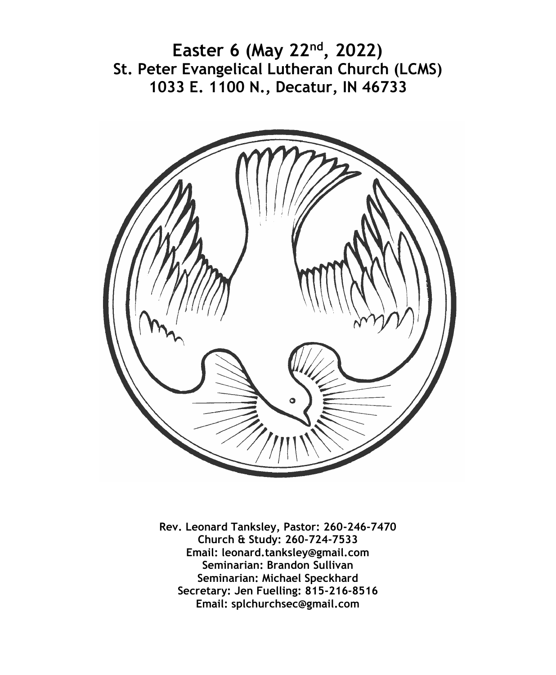**Easter 6 (May 22nd, 2022) St. Peter Evangelical Lutheran Church (LCMS) 1033 E. 1100 N., Decatur, IN 46733**



**Rev. Leonard Tanksley, Pastor: 260-246-7470 Church & Study: 260-724-7533 Email: leonard.tanksley@gmail.com Seminarian: Brandon Sullivan Seminarian: Michael Speckhard Secretary: Jen Fuelling: 815-216-8516 Email: splchurchsec@gmail.com**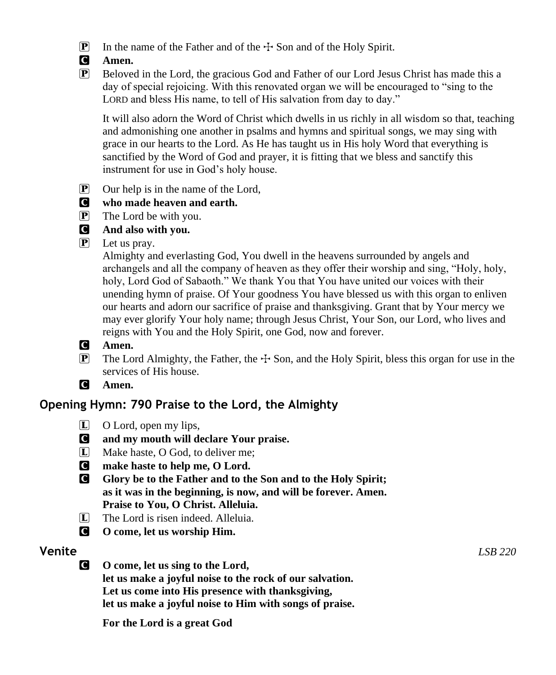- $\boxed{\mathbf{P}}$  In the name of the Father and of the  $\div$  Son and of the Holy Spirit.
- C **Amen.**
- P Beloved in the Lord, the gracious God and Father of our Lord Jesus Christ has made this a day of special rejoicing. With this renovated organ we will be encouraged to "sing to the LORD and bless His name, to tell of His salvation from day to day."

It will also adorn the Word of Christ which dwells in us richly in all wisdom so that, teaching and admonishing one another in psalms and hymns and spiritual songs, we may sing with grace in our hearts to the Lord. As He has taught us in His holy Word that everything is sanctified by the Word of God and prayer, it is fitting that we bless and sanctify this instrument for use in God's holy house.

 $\boxed{\mathbf{P}}$  Our help is in the name of the Lord,

## C **who made heaven and earth.**

- P The Lord be with you.
- C **And also with you.**
- P Let us pray.

Almighty and everlasting God, You dwell in the heavens surrounded by angels and archangels and all the company of heaven as they offer their worship and sing, "Holy, holy, holy, Lord God of Sabaoth." We thank You that You have united our voices with their unending hymn of praise. Of Your goodness You have blessed us with this organ to enliven our hearts and adorn our sacrifice of praise and thanksgiving. Grant that by Your mercy we may ever glorify Your holy name; through Jesus Christ, Your Son, our Lord, who lives and reigns with You and the Holy Spirit, one God, now and forever.

- C **Amen.**
- **P** The Lord Almighty, the Father, the  $\pm$  Son, and the Holy Spirit, bless this organ for use in the services of His house.
- C **Amen.**

# **Opening Hymn: 790 Praise to the Lord, the Almighty**

- L O Lord, open my lips,
- C **and my mouth will declare Your praise.**
- [L] Make haste, O God, to deliver me;
- C **make haste to help me, O Lord.**
- C **Glory be to the Father and to the Son and to the Holy Spirit; as it was in the beginning, is now, and will be forever. Amen. Praise to You, O Christ. Alleluia.**
- L The Lord is risen indeed. Alleluia.
- C **O come, let us worship Him.**

C **O come, let us sing to the Lord, let us make a joyful noise to the rock of our salvation. Let us come into His presence with thanksgiving, let us make a joyful noise to Him with songs of praise.**

**For the Lord is a great God**

**Venite** *LSB 220*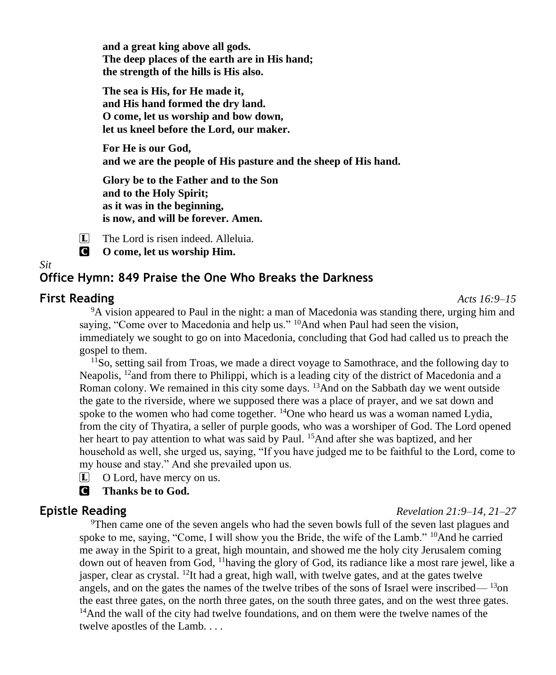**and a great king above all gods. The deep places of the earth are in His hand; the strength of the hills is His also.**

**The sea is His, for He made it, and His hand formed the dry land. O come, let us worship and bow down, let us kneel before the Lord, our maker.**

**For He is our God, and we are the people of His pasture and the sheep of His hand.**

**Glory be to the Father and to the Son and to the Holy Spirit; as it was in the beginning, is now, and will be forever. Amen.**

L The Lord is risen indeed. Alleluia.

C **O come, let us worship Him.**

## **Office Hymn: 849 Praise the One Who Breaks the Darkness**

#### **First Reading** *Acts 16:9–15*

*Sit*

<sup>9</sup>A vision appeared to Paul in the night: a man of Macedonia was standing there, urging him and saying, "Come over to Macedonia and help us." <sup>10</sup>And when Paul had seen the vision, immediately we sought to go on into Macedonia, concluding that God had called us to preach the gospel to them.

<sup>11</sup>So, setting sail from Troas, we made a direct voyage to Samothrace, and the following day to Neapolis,  $^{12}$  and from there to Philippi, which is a leading city of the district of Macedonia and a Roman colony. We remained in this city some days. <sup>13</sup>And on the Sabbath day we went outside the gate to the riverside, where we supposed there was a place of prayer, and we sat down and spoke to the women who had come together.  $\frac{14}{2}$ One who heard us was a woman named Lydia, from the city of Thyatira, a seller of purple goods, who was a worshiper of God. The Lord opened her heart to pay attention to what was said by Paul. <sup>15</sup>And after she was baptized, and her household as well, she urged us, saying, "If you have judged me to be faithful to the Lord, come to my house and stay." And she prevailed upon us.

 $\Box$  O Lord, have mercy on us.

C **Thanks be to God.**

#### **Epistle Reading** *Revelation 21:9–14, 21–27*

<sup>9</sup>Then came one of the seven angels who had the seven bowls full of the seven last plagues and spoke to me, saying, "Come, I will show you the Bride, the wife of the Lamb."  $^{10}$ And he carried me away in the Spirit to a great, high mountain, and showed me the holy city Jerusalem coming down out of heaven from God, <sup>11</sup>having the glory of God, its radiance like a most rare jewel, like a jasper, clear as crystal. <sup>12</sup>It had a great, high wall, with twelve gates, and at the gates twelve angels, and on the gates the names of the twelve tribes of the sons of Israel were inscribed— <sup>13</sup>on the east three gates, on the north three gates, on the south three gates, and on the west three gates.  $14$ And the wall of the city had twelve foundations, and on them were the twelve names of the twelve apostles of the Lamb. . . .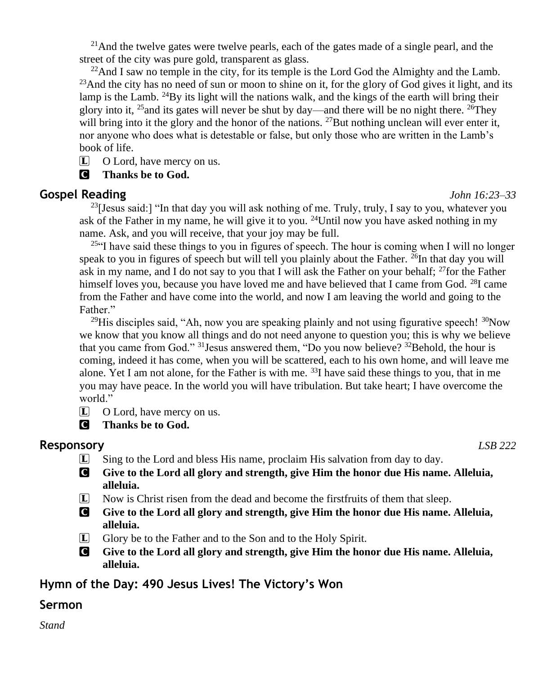<sup>21</sup>And the twelve gates were twelve pearls, each of the gates made of a single pearl, and the street of the city was pure gold, transparent as glass.

<sup>22</sup>And I saw no temple in the city, for its temple is the Lord God the Almighty and the Lamb.  $^{23}$ And the city has no need of sun or moon to shine on it, for the glory of God gives it light, and its lamp is the Lamb. <sup>24</sup>By its light will the nations walk, and the kings of the earth will bring their glory into it, <sup>25</sup> and its gates will never be shut by day—and there will be no night there. <sup>26</sup>They will bring into it the glory and the honor of the nations. <sup>27</sup>But nothing unclean will ever enter it, nor anyone who does what is detestable or false, but only those who are written in the Lamb's book of life.

L O Lord, have mercy on us.

C **Thanks be to God.**

#### **Gospel Reading** *John 16:23–33*

<sup>23</sup>[Jesus said:] "In that day you will ask nothing of me. Truly, truly, I say to you, whatever you ask of the Father in my name, he will give it to you. <sup>24</sup>Until now you have asked nothing in my name. Ask, and you will receive, that your joy may be full.

<sup>25"</sup>I have said these things to you in figures of speech. The hour is coming when I will no longer speak to you in figures of speech but will tell you plainly about the Father.  $^{26}$ In that day you will ask in my name, and I do not say to you that I will ask the Father on your behalf; <sup>27</sup>for the Father himself loves you, because you have loved me and have believed that I came from God.  $^{28}I$  came from the Father and have come into the world, and now I am leaving the world and going to the Father."

<sup>29</sup>His disciples said, "Ah, now you are speaking plainly and not using figurative speech!  $30\text{Now}$ we know that you know all things and do not need anyone to question you; this is why we believe that you came from God."  $31$  Jesus answered them, "Do you now believe?  $32$  Behold, the hour is coming, indeed it has come, when you will be scattered, each to his own home, and will leave me alone. Yet I am not alone, for the Father is with me.  $^{33}$ I have said these things to you, that in me you may have peace. In the world you will have tribulation. But take heart; I have overcome the world."

L O Lord, have mercy on us.

C **Thanks be to God.**

### **Responsory** *LSB 222*

- L Sing to the Lord and bless His name, proclaim His salvation from day to day.
- C **Give to the Lord all glory and strength, give Him the honor due His name. Alleluia, alleluia.**
- $\bar{L}$  Now is Christ risen from the dead and become the first fruits of them that sleep.
- C **Give to the Lord all glory and strength, give Him the honor due His name. Alleluia, alleluia.**
- L Glory be to the Father and to the Son and to the Holy Spirit.
- C **Give to the Lord all glory and strength, give Him the honor due His name. Alleluia, alleluia.**

## **Hymn of the Day: 490 Jesus Lives! The Victory's Won**

### **Sermon**

*Stand*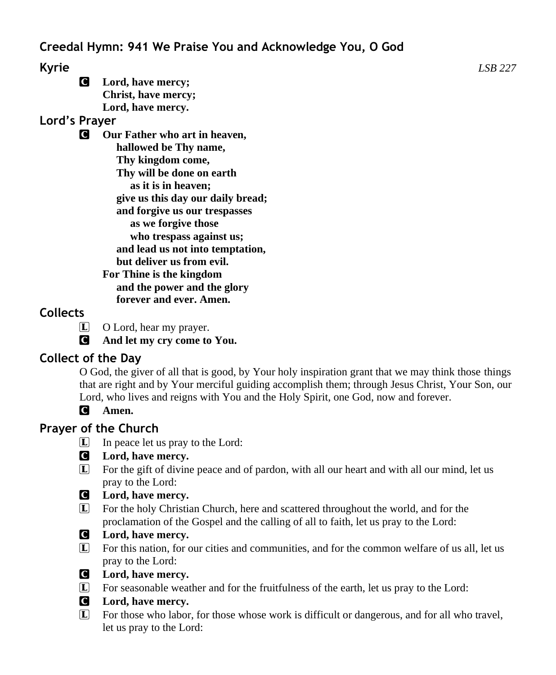C **Lord, have mercy; Christ, have mercy; Lord, have mercy.**

# **Lord's Prayer**

C **Our Father who art in heaven, hallowed be Thy name, Thy kingdom come, Thy will be done on earth as it is in heaven; give us this day our daily bread; and forgive us our trespasses as we forgive those who trespass against us; and lead us not into temptation, but deliver us from evil. For Thine is the kingdom and the power and the glory forever and ever. Amen.**

# **Collects**

- $\Box$  O Lord, hear my prayer.
- C **And let my cry come to You.**

# **Collect of the Day**

O God, the giver of all that is good, by Your holy inspiration grant that we may think those things that are right and by Your merciful guiding accomplish them; through Jesus Christ, Your Son, our Lord, who lives and reigns with You and the Holy Spirit, one God, now and forever.

# C **Amen.**

# **Prayer of the Church**

 $\boxed{\mathbf{L}}$  In peace let us pray to the Lord:

## C **Lord, have mercy.**

L For the gift of divine peace and of pardon, with all our heart and with all our mind, let us pray to the Lord:

## C **Lord, have mercy.**

L For the holy Christian Church, here and scattered throughout the world, and for the proclamation of the Gospel and the calling of all to faith, let us pray to the Lord:

# C **Lord, have mercy.**

- L For this nation, for our cities and communities, and for the common welfare of us all, let us pray to the Lord:
- C **Lord, have mercy.**
- L For seasonable weather and for the fruitfulness of the earth, let us pray to the Lord:

## C **Lord, have mercy.**

L For those who labor, for those whose work is difficult or dangerous, and for all who travel, let us pray to the Lord: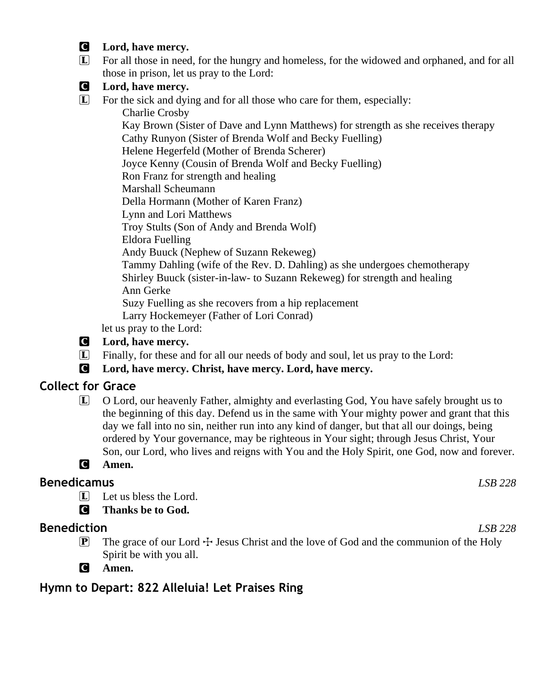#### C **Lord, have mercy.**

C **Lord, have mercy.**

- L For all those in need, for the hungry and homeless, for the widowed and orphaned, and for all those in prison, let us pray to the Lord:
- L For the sick and dying and for all those who care for them, especially: Charlie Crosby Kay Brown (Sister of Dave and Lynn Matthews) for strength as she receives therapy Cathy Runyon (Sister of Brenda Wolf and Becky Fuelling) Helene Hegerfeld (Mother of Brenda Scherer) Joyce Kenny (Cousin of Brenda Wolf and Becky Fuelling) Ron Franz for strength and healing Marshall Scheumann Della Hormann (Mother of Karen Franz) Lynn and Lori Matthews Troy Stults (Son of Andy and Brenda Wolf) Eldora Fuelling Andy Buuck (Nephew of Suzann Rekeweg) Tammy Dahling (wife of the Rev. D. Dahling) as she undergoes chemotherapy Shirley Buuck (sister-in-law- to Suzann Rekeweg) for strength and healing Ann Gerke Suzy Fuelling as she recovers from a hip replacement Larry Hockemeyer (Father of Lori Conrad)

let us pray to the Lord:

- C **Lord, have mercy.**
- L Finally, for these and for all our needs of body and soul, let us pray to the Lord:
- C **Lord, have mercy. Christ, have mercy. Lord, have mercy.**

# **Collect for Grace**

- L O Lord, our heavenly Father, almighty and everlasting God, You have safely brought us to the beginning of this day. Defend us in the same with Your mighty power and grant that this day we fall into no sin, neither run into any kind of danger, but that all our doings, being ordered by Your governance, may be righteous in Your sight; through Jesus Christ, Your Son, our Lord, who lives and reigns with You and the Holy Spirit, one God, now and forever.
- C **Amen.**

## **Benedicamus** *LSB 228*

 $\Box$  Let us bless the Lord.

C **Thanks be to God.**

## **Benediction** *LSB 228*

- $\mathbb{P}$  The grace of our Lord  $\div$  Jesus Christ and the love of God and the communion of the Holy Spirit be with you all.
- C **Amen.**

# **Hymn to Depart: 822 Alleluia! Let Praises Ring**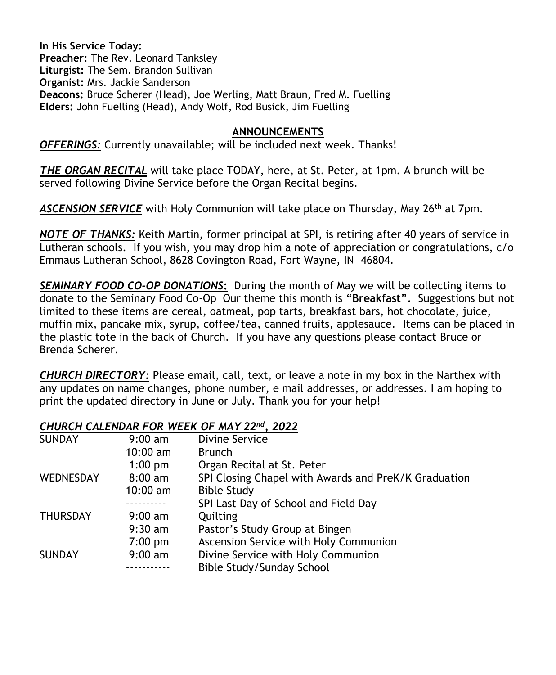**In His Service Today: Preacher:** The Rev. Leonard Tanksley **Liturgist:** The Sem. Brandon Sullivan **Organist:** Mrs. Jackie Sanderson **Deacons:** Bruce Scherer (Head), Joe Werling, Matt Braun, Fred M. Fuelling **Elders:** John Fuelling (Head), Andy Wolf, Rod Busick, Jim Fuelling

#### **ANNOUNCEMENTS**

*OFFERINGS:* Currently unavailable; will be included next week. Thanks!

*THE ORGAN RECITAL* will take place TODAY, here, at St. Peter, at 1pm. A brunch will be served following Divine Service before the Organ Recital begins.

*ASCENSION SERVICE* with Holy Communion will take place on Thursday, May 26th at 7pm.

*NOTE OF THANKS:* Keith Martin, former principal at SPI, is retiring after 40 years of service in Lutheran schools. If you wish, you may drop him a note of appreciation or congratulations, c/o Emmaus Lutheran School, 8628 Covington Road, Fort Wayne, IN 46804.

*SEMINARY FOOD CO-OP DONATIONS***:** During the month of May we will be collecting items to donate to the Seminary Food Co-Op Our theme this month is **"Breakfast".** Suggestions but not limited to these items are cereal, oatmeal, pop tarts, breakfast bars, hot chocolate, juice, muffin mix, pancake mix, syrup, coffee/tea, canned fruits, applesauce. Items can be placed in the plastic tote in the back of Church. If you have any questions please contact Bruce or Brenda Scherer.

*CHURCH DIRECTORY:* Please email, call, text, or leave a note in my box in the Narthex with any updates on name changes, phone number, e mail addresses, or addresses. I am hoping to print the updated directory in June or July. Thank you for your help!

#### *CHURCH CALENDAR FOR WEEK OF MAY 22nd, 2022*

| <b>SUNDAY</b>    | $9:00 \text{ am}$  | <b>Divine Service</b>                                |
|------------------|--------------------|------------------------------------------------------|
|                  | $10:00 \text{ am}$ | <b>Brunch</b>                                        |
|                  | $1:00$ pm          | Organ Recital at St. Peter                           |
| <b>WEDNESDAY</b> | $8:00 \text{ am}$  | SPI Closing Chapel with Awards and PreK/K Graduation |
|                  | $10:00$ am         | <b>Bible Study</b>                                   |
|                  |                    | SPI Last Day of School and Field Day                 |
| <b>THURSDAY</b>  | $9:00 \text{ am}$  | Quilting                                             |
|                  | $9:30$ am          | Pastor's Study Group at Bingen                       |
|                  | $7:00 \text{ pm}$  | Ascension Service with Holy Communion                |
| <b>SUNDAY</b>    | $9:00 \text{ am}$  | Divine Service with Holy Communion                   |
|                  |                    | Bible Study/Sunday School                            |